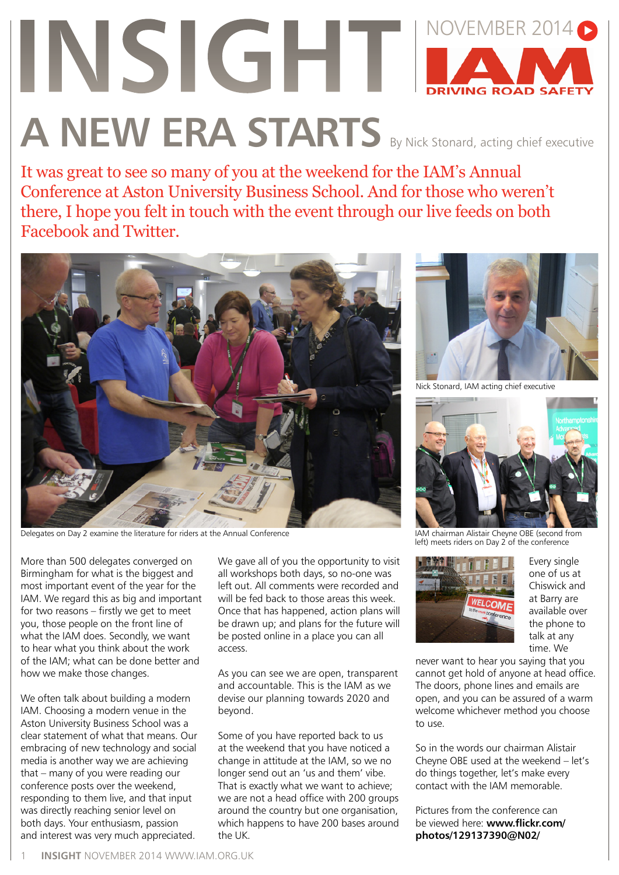# <span id="page-0-0"></span>**INSIGHT**  $\sqrt{\text{NOWEMBER } 2014}$  $\sqrt{\text{NOWEMBER } 2014}$  $\sqrt{\text{NOWEMBER } 2014}$ **RIVING ROAD SAFET** A NEW ERA STARTS By Nick Stonard, acting chief executive

It was great to see so many of you at the weekend for the IAM's Annual Conference at Aston University Business School. And for those who weren't there, I hope you felt in touch with the event through our live feeds on both Facebook and Twitter.



Delegates on Day 2 examine the literature for riders at the Annual Conference

More than 500 delegates converged on Birmingham for what is the biggest and most important event of the year for the IAM. We regard this as big and important for two reasons – firstly we get to meet you, those people on the front line of what the IAM does. Secondly, we want to hear what you think about the work of the IAM; what can be done better and how we make those changes.

We often talk about building a modern IAM. Choosing a modern venue in the Aston University Business School was a clear statement of what that means. Our embracing of new technology and social media is another way we are achieving that – many of you were reading our conference posts over the weekend, responding to them live, and that input was directly reaching senior level on both days. Your enthusiasm, passion and interest was very much appreciated.

We gave all of you the opportunity to visit all workshops both days, so no-one was left out. All comments were recorded and will be fed back to those areas this week. Once that has happened, action plans will be drawn up; and plans for the future will be posted online in a place you can all access.

As you can see we are open, transparent and accountable. This is the IAM as we devise our planning towards 2020 and beyond.

Some of you have reported back to us at the weekend that you have noticed a change in attitude at the IAM, so we no longer send out an 'us and them' vibe. That is exactly what we want to achieve; we are not a head office with 200 groups around the country but one organisation, which happens to have 200 bases around the UK.



Nick Stonard, IAM acting chief executive



IAM chairman Alistair Cheyne OBE (second from left) meets riders on Day 2 of the conference



Every single one of us at Chiswick and at Barry are available over the phone to talk at any time. We

never want to hear you saying that you cannot get hold of anyone at head office. The doors, phone lines and emails are open, and you can be assured of a warm welcome whichever method you choose to use.

So in the words our chairman Alistair Cheyne OBE used at the weekend – let's do things together, let's make every contact with the IAM memorable.

Pictures from the conference can be viewed here: **www.flickr.com/ [photos/129137390@N02/](www.flickr.com/photos/129137390@N02/)**